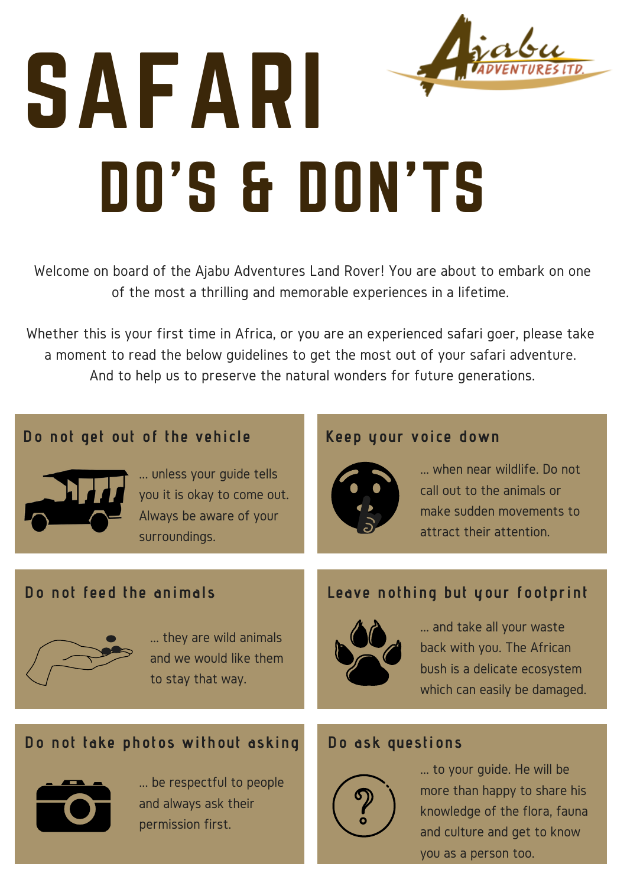# SAFARI DO'S & DON'TS

Welcome on board of the Ajabu Adventures Land Rover! You are about to embark on one of the most a thrilling and memorable experiences in a lifetime.

Whether this is your first time in Africa, or you are an experienced safari goer, please take a moment to read the below guidelines to get the most out of your safari adventure. And to help us to preserve the natural wonders for future generations.

## **Do not get out of the vehicle Keep your voice down**



... unless your guide tells you it is okay to come out. Always be aware of your surroundings.



... when near wildlife. Do not call out to the animals or make sudden movements to attract their attention.

## **Do not feed the animals Leave nothing but your footprint**



... they are wild animals and we would like them to stay that way.



... and take all your waste back with you. The African bush is a delicate ecosystem which can easily be damaged.

## **Do not take photos without asking Do ask questions**



... be respectful to people and always ask their permission first.



... to your guide. He will be more than happy to share his knowledge of the flora, fauna and culture and get to know you as a person too.